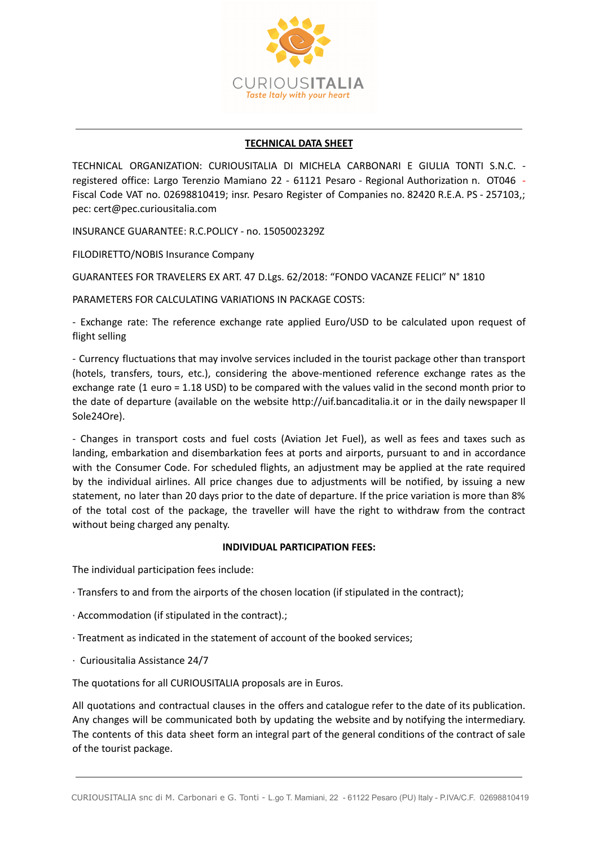

# **TECHNICAL DATA SHEET**

TECHNICAL ORGANIZATION: CURIOUSITALIA DI MICHELA CARBONARI E GIULIA TONTI S.N.C. registered office: Largo Terenzio Mamiano 22 - 61121 Pesaro - Regional Authorization n. OT046 - Fiscal Code VAT no. 02698810419; insr. Pesaro Register of Companies no. 82420 R.E.A. PS - 257103,; pec: cert@pec.curiousitalia.com

INSURANCE GUARANTEE: R.C.POLICY - no. 1505002329Z

FILODIRETTO/NOBIS Insurance Company

GUARANTEES FOR TRAVELERS EX ART. 47 D.Lgs. 62/2018: "FONDO VACANZE FELICI" N° 1810

PARAMETERS FOR CALCULATING VARIATIONS IN PACKAGE COSTS:

- Exchange rate: The reference exchange rate applied Euro/USD to be calculated upon request of flight selling

- Currency fluctuations that may involve services included in the tourist package other than transport (hotels, transfers, tours, etc.), considering the above-mentioned reference exchange rates as the exchange rate (1 euro = 1.18 USD) to be compared with the values valid in the second month prior to the date of departure (available on the website http://uif.bancaditalia.it or in the daily newspaper Il Sole24Ore).

- Changes in transport costs and fuel costs (Aviation Jet Fuel), as well as fees and taxes such as landing, embarkation and disembarkation fees at ports and airports, pursuant to and in accordance with the Consumer Code. For scheduled flights, an adjustment may be applied at the rate required by the individual airlines. All price changes due to adjustments will be notified, by issuing a new statement, no later than 20 days prior to the date of departure. If the price variation is more than 8% of the total cost of the package, the traveller will have the right to withdraw from the contract without being charged any penalty.

# **INDIVIDUAL PARTICIPATION FEES:**

The individual participation fees include:

- ∙ Transfers to and from the airports of the chosen location (if stipulated in the contract);
- ∙ Accommodation (if stipulated in the contract).;
- ∙ Treatment as indicated in the statement of account of the booked services;
- ∙ Curiousitalia Assistance 24/7

The quotations for all CURIOUSITALIA proposals are in Euros.

All quotations and contractual clauses in the offers and catalogue refer to the date of its publication. Any changes will be communicated both by updating the website and by notifying the intermediary. The contents of this data sheet form an integral part of the general conditions of the contract of sale of the tourist package.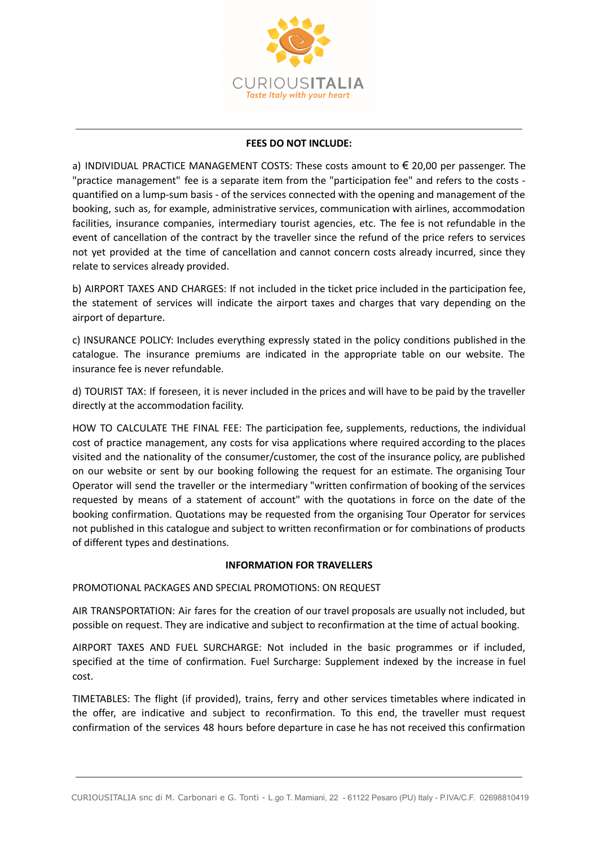

# **FEES DO NOT INCLUDE:**

a) INDIVIDUAL PRACTICE MANAGEMENT COSTS: These costs amount to  $\epsilon$  20,00 per passenger. The "practice management" fee is a separate item from the "participation fee" and refers to the costs quantified on a lump-sum basis - of the services connected with the opening and management of the booking, such as, for example, administrative services, communication with airlines, accommodation facilities, insurance companies, intermediary tourist agencies, etc. The fee is not refundable in the event of cancellation of the contract by the traveller since the refund of the price refers to services not yet provided at the time of cancellation and cannot concern costs already incurred, since they relate to services already provided.

b) AIRPORT TAXES AND CHARGES: If not included in the ticket price included in the participation fee, the statement of services will indicate the airport taxes and charges that vary depending on the airport of departure.

c) INSURANCE POLICY: Includes everything expressly stated in the policy conditions published in the catalogue. The insurance premiums are indicated in the appropriate table on our website. The insurance fee is never refundable.

d) TOURIST TAX: If foreseen, it is never included in the prices and will have to be paid by the traveller directly at the accommodation facility.

HOW TO CALCULATE THE FINAL FEE: The participation fee, supplements, reductions, the individual cost of practice management, any costs for visa applications where required according to the places visited and the nationality of the consumer/customer, the cost of the insurance policy, are published on our website or sent by our booking following the request for an estimate. The organising Tour Operator will send the traveller or the intermediary "written confirmation of booking of the services requested by means of a statement of account" with the quotations in force on the date of the booking confirmation. Quotations may be requested from the organising Tour Operator for services not published in this catalogue and subject to written reconfirmation or for combinations of products of different types and destinations.

### **INFORMATION FOR TRAVELLERS**

PROMOTIONAL PACKAGES AND SPECIAL PROMOTIONS: ON REQUEST

AIR TRANSPORTATION: Air fares for the creation of our travel proposals are usually not included, but possible on request. They are indicative and subject to reconfirmation at the time of actual booking.

AIRPORT TAXES AND FUEL SURCHARGE: Not included in the basic programmes or if included, specified at the time of confirmation. Fuel Surcharge: Supplement indexed by the increase in fuel cost.

TIMETABLES: The flight (if provided), trains, ferry and other services timetables where indicated in the offer, are indicative and subject to reconfirmation. To this end, the traveller must request confirmation of the services 48 hours before departure in case he has not received this confirmation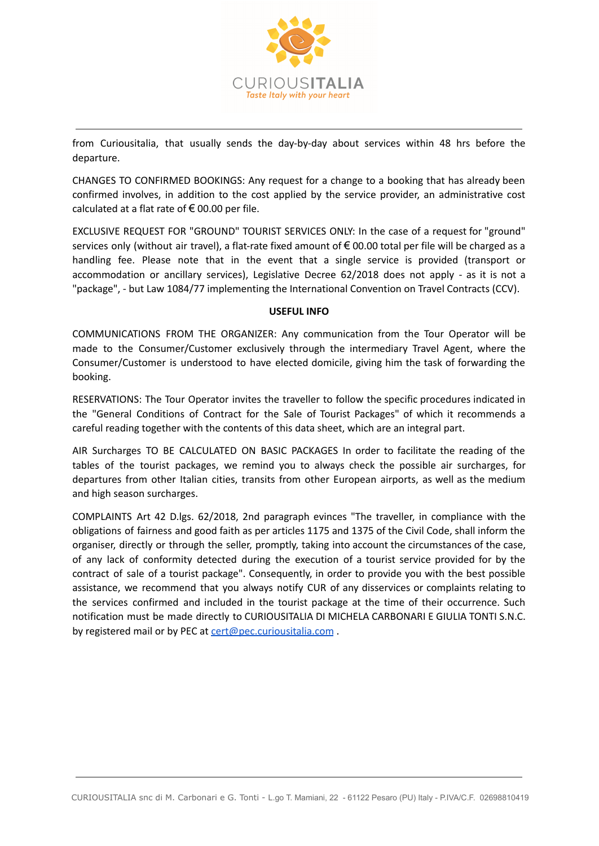

from Curiousitalia, that usually sends the day-by-day about services within 48 hrs before the departure.

CHANGES TO CONFIRMED BOOKINGS: Any request for a change to a booking that has already been confirmed involves, in addition to the cost applied by the service provider, an administrative cost calculated at a flat rate of  $\epsilon$  00.00 per file.

EXCLUSIVE REQUEST FOR "GROUND" TOURIST SERVICES ONLY: In the case of a request for "ground" services only (without air travel), a flat-rate fixed amount of €00.00 total per file will be charged as a handling fee. Please note that in the event that a single service is provided (transport or accommodation or ancillary services), Legislative Decree 62/2018 does not apply - as it is not a "package", - but Law 1084/77 implementing the International Convention on Travel Contracts (CCV).

### **USEFUL INFO**

COMMUNICATIONS FROM THE ORGANIZER: Any communication from the Tour Operator will be made to the Consumer/Customer exclusively through the intermediary Travel Agent, where the Consumer/Customer is understood to have elected domicile, giving him the task of forwarding the booking.

RESERVATIONS: The Tour Operator invites the traveller to follow the specific procedures indicated in the "General Conditions of Contract for the Sale of Tourist Packages" of which it recommends a careful reading together with the contents of this data sheet, which are an integral part.

AIR Surcharges TO BE CALCULATED ON BASIC PACKAGES In order to facilitate the reading of the tables of the tourist packages, we remind you to always check the possible air surcharges, for departures from other Italian cities, transits from other European airports, as well as the medium and high season surcharges.

COMPLAINTS Art 42 D.lgs. 62/2018, 2nd paragraph evinces "The traveller, in compliance with the obligations of fairness and good faith as per articles 1175 and 1375 of the Civil Code, shall inform the organiser, directly or through the seller, promptly, taking into account the circumstances of the case, of any lack of conformity detected during the execution of a tourist service provided for by the contract of sale of a tourist package". Consequently, in order to provide you with the best possible assistance, we recommend that you always notify CUR of any disservices or complaints relating to the services confirmed and included in the tourist package at the time of their occurrence. Such notification must be made directly to CURIOUSITALIA DI MICHELA CARBONARI E GIULIA TONTI S.N.C. by registered mail or by PEC at [cert@pec.curiousitalia.com](mailto:cert@pec.curiousitalia.com).